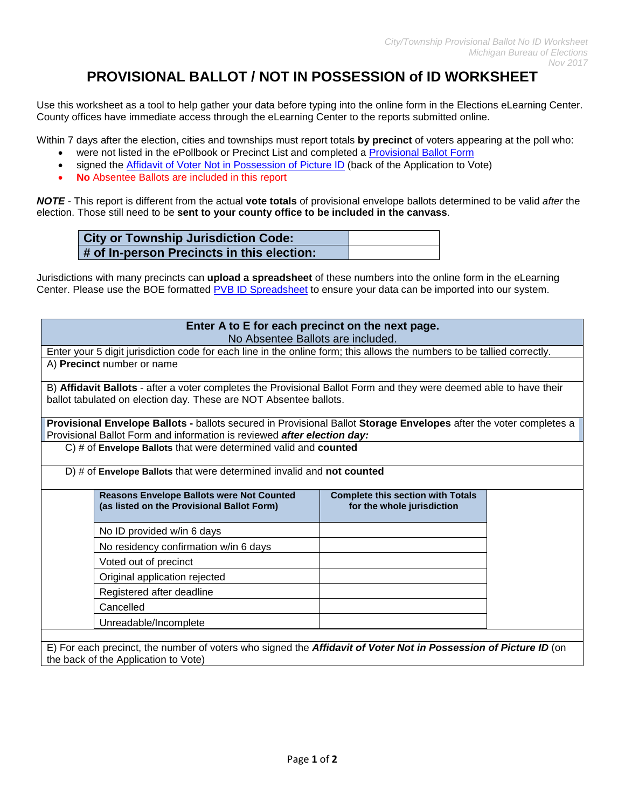## **PROVISIONAL BALLOT / NOT IN POSSESSION of ID WORKSHEET**

Use this worksheet as a tool to help gather your data before typing into the online form in the Elections eLearning Center. County offices have immediate access through the eLearning Center to the reports submitted online.

Within 7 days after the election, cities and townships must report totals **by precinct** of voters appearing at the poll who:

- were not listed in the ePollbook or Precinct List and completed a [Provisional Ballot Form](https://www.michigan.gov/documents/sos/Provisional_Ballot_Form_web_version_512356_7.pdf)
- signed the [Affidavit of Voter Not in Possession of Picture](https://www.michigan.gov/documents/sos/Affidavit_of_Voter_in_Posession_209344_7.pdf) ID (back of the Application to Vote)
- **No** Absentee Ballots are included in this report

*NOTE* - This report is different from the actual **vote totals** of provisional envelope ballots determined to be valid *after* the election. Those still need to be **sent to your county office to be included in the canvass**.

| <b>City or Township Jurisdiction Code:</b> |  |
|--------------------------------------------|--|
| # of In-person Precincts in this election: |  |

Jurisdictions with many precincts can **upload a spreadsheet** of these numbers into the online form in the eLearning Center. Please use the BOE formatted [PVB ID Spreadsheet](http://www.mi.gov/documents/sos/PVB_ID_Spreadsheet_540472_7.xlsx) to ensure your data can be imported into our system.

| Enter A to E for each precinct on the next page.<br>No Absentee Ballots are included.                                                                                                         |                                                                                                |                                                                        |  |  |  |  |
|-----------------------------------------------------------------------------------------------------------------------------------------------------------------------------------------------|------------------------------------------------------------------------------------------------|------------------------------------------------------------------------|--|--|--|--|
| Enter your 5 digit jurisdiction code for each line in the online form; this allows the numbers to be tallied correctly.                                                                       |                                                                                                |                                                                        |  |  |  |  |
| A) Precinct number or name                                                                                                                                                                    |                                                                                                |                                                                        |  |  |  |  |
| B) Affidavit Ballots - after a voter completes the Provisional Ballot Form and they were deemed able to have their<br>ballot tabulated on election day. These are NOT Absentee ballots.       |                                                                                                |                                                                        |  |  |  |  |
| Provisional Envelope Ballots - ballots secured in Provisional Ballot Storage Envelopes after the voter completes a<br>Provisional Ballot Form and information is reviewed after election day: |                                                                                                |                                                                        |  |  |  |  |
| $C$ ) # of Envelope Ballots that were determined valid and counted                                                                                                                            |                                                                                                |                                                                        |  |  |  |  |
| D) # of Envelope Ballots that were determined invalid and not counted                                                                                                                         |                                                                                                |                                                                        |  |  |  |  |
|                                                                                                                                                                                               | <b>Reasons Envelope Ballots were Not Counted</b><br>(as listed on the Provisional Ballot Form) | <b>Complete this section with Totals</b><br>for the whole jurisdiction |  |  |  |  |
|                                                                                                                                                                                               | No ID provided w/in 6 days                                                                     |                                                                        |  |  |  |  |
|                                                                                                                                                                                               | No residency confirmation w/in 6 days                                                          |                                                                        |  |  |  |  |
|                                                                                                                                                                                               | Voted out of precinct                                                                          |                                                                        |  |  |  |  |
|                                                                                                                                                                                               | Original application rejected                                                                  |                                                                        |  |  |  |  |
|                                                                                                                                                                                               | Registered after deadline                                                                      |                                                                        |  |  |  |  |
| Cancelled                                                                                                                                                                                     |                                                                                                |                                                                        |  |  |  |  |
|                                                                                                                                                                                               | Unreadable/Incomplete                                                                          |                                                                        |  |  |  |  |
| E) For each precinct, the number of voters who signed the Affidavit of Voter Not in Possession of Picture ID (on                                                                              |                                                                                                |                                                                        |  |  |  |  |

the back of the Application to Vote)